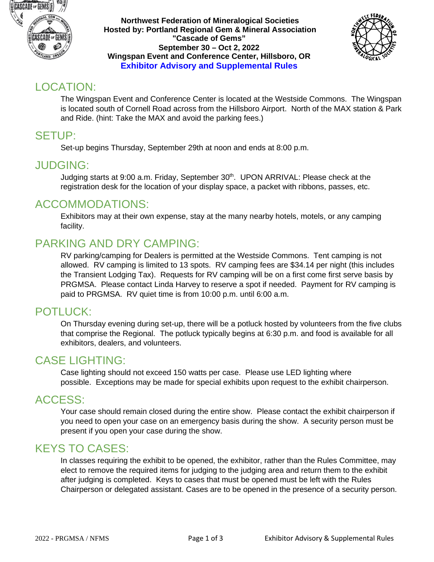

**Northwest Federation of Mineralogical Societies Hosted by: Portland Regional Gem & Mineral Association "Cascade of Gems" September 30 – Oct 2, 2022 Wingspan Event and Conference Center, Hillsboro, OR Exhibitor Advisory and Supplemental Rules**



## LOCATION:

The Wingspan Event and Conference Center is located at the Westside Commons. The Wingspan is located south of Cornell Road across from the Hillsboro Airport. North of the MAX station & Park and Ride. (hint: Take the MAX and avoid the parking fees.)

### SETUP:

Set-up begins Thursday, September 29th at noon and ends at 8:00 p.m.

#### JUDGING:

Judging starts at 9:00 a.m. Friday, September 30th. UPON ARRIVAL: Please check at the registration desk for the location of your display space, a packet with ribbons, passes, etc.

#### ACCOMMODATIONS:

Exhibitors may at their own expense, stay at the many nearby hotels, motels, or any camping facility.

## PARKING AND DRY CAMPING:

RV parking/camping for Dealers is permitted at the Westside Commons. Tent camping is not allowed. RV camping is limited to 13 spots. RV camping fees are \$34.14 per night (this includes the Transient Lodging Tax). Requests for RV camping will be on a first come first serve basis by PRGMSA. Please contact Linda Harvey to reserve a spot if needed. Payment for RV camping is paid to PRGMSA. RV quiet time is from 10:00 p.m. until 6:00 a.m.

#### POTLUCK:

On Thursday evening during set-up, there will be a potluck hosted by volunteers from the five clubs that comprise the Regional. The potluck typically begins at 6:30 p.m. and food is available for all exhibitors, dealers, and volunteers.

#### CASE LIGHTING:

Case lighting should not exceed 150 watts per case. Please use LED lighting where possible. Exceptions may be made for special exhibits upon request to the exhibit chairperson.

#### ACCESS:

Your case should remain closed during the entire show. Please contact the exhibit chairperson if you need to open your case on an emergency basis during the show. A security person must be present if you open your case during the show.

#### KEYS TO CASES:

In classes requiring the exhibit to be opened, the exhibitor, rather than the Rules Committee, may elect to remove the required items for judging to the judging area and return them to the exhibit after judging is completed. Keys to cases that must be opened must be left with the Rules Chairperson or delegated assistant. Cases are to be opened in the presence of a security person.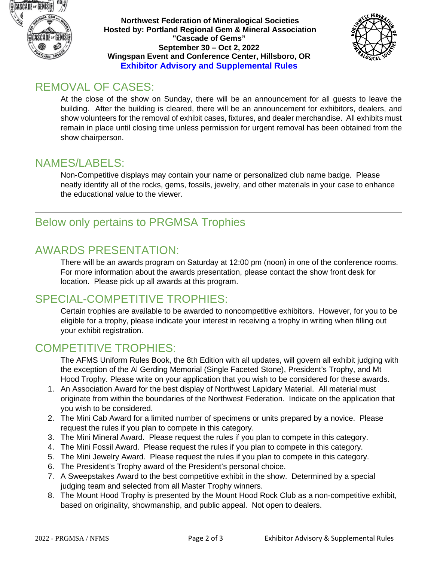

**Northwest Federation of Mineralogical Societies Hosted by: Portland Regional Gem & Mineral Association "Cascade of Gems" September 30 – Oct 2, 2022 Wingspan Event and Conference Center, Hillsboro, OR Exhibitor Advisory and Supplemental Rules**



### REMOVAL OF CASES:

At the close of the show on Sunday, there will be an announcement for all guests to leave the building. After the building is cleared, there will be an announcement for exhibitors, dealers, and show volunteers for the removal of exhibit cases, fixtures, and dealer merchandise. All exhibits must remain in place until closing time unless permission for urgent removal has been obtained from the show chairperson.

#### NAMES/LABELS:

Non-Competitive displays may contain your name or personalized club name badge. Please neatly identify all of the rocks, gems, fossils, jewelry, and other materials in your case to enhance the educational value to the viewer.

# Below only pertains to PRGMSA Trophies

## AWARDS PRESENTATION:

There will be an awards program on Saturday at 12:00 pm (noon) in one of the conference rooms. For more information about the awards presentation, please contact the show front desk for location. Please pick up all awards at this program.

## SPECIAL-COMPETITIVE TROPHIES:

Certain trophies are available to be awarded to noncompetitive exhibitors. However, for you to be eligible for a trophy, please indicate your interest in receiving a trophy in writing when filling out your exhibit registration.

## COMPETITIVE TROPHIES:

The AFMS Uniform Rules Book, the 8th Edition with all updates, will govern all exhibit judging with the exception of the Al Gerding Memorial (Single Faceted Stone), President's Trophy, and Mt Hood Trophy. Please write on your application that you wish to be considered for these awards.

- 1. An Association Award for the best display of Northwest Lapidary Material. All material must originate from within the boundaries of the Northwest Federation. Indicate on the application that you wish to be considered.
- 2. The Mini Cab Award for a limited number of specimens or units prepared by a novice. Please request the rules if you plan to compete in this category.
- 3. The Mini Mineral Award. Please request the rules if you plan to compete in this category.
- 4. The Mini Fossil Award. Please request the rules if you plan to compete in this category.
- 5. The Mini Jewelry Award. Please request the rules if you plan to compete in this category.
- 6. The President's Trophy award of the President's personal choice.
- 7. A Sweepstakes Award to the best competitive exhibit in the show. Determined by a special judging team and selected from all Master Trophy winners.
- 8. The Mount Hood Trophy is presented by the Mount Hood Rock Club as a non-competitive exhibit, based on originality, showmanship, and public appeal. Not open to dealers.